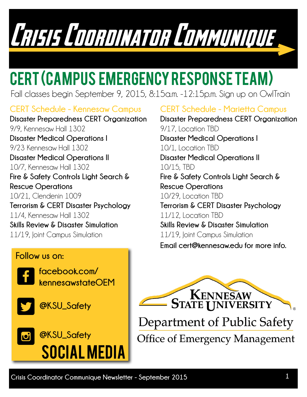Crisis Coordinator Communist

## CERT (Campus Emergency Response Team)

Fall classes begin September 9, 2015, 8:15a.m. -12:15p.m. Sign up on OwlTrain

#### **CERT Schedule - Kennesaw Campus**

**Disaster Preparedness CERT Organization** 9/9, Kennesaw Hall 1302 **Disaster Medical Operations I** 9/23 Kennesaw Hall 1302 **Disaster Medical Operations II** 10/7, Kennesaw Hall 1302 **Fire & Safety Controls Light Search & Rescue Operations** 10/21, Clendenin 1009 **Terrorism & CERT Disaster Psychology** 11/4, Kennesaw Hall 1302 **Skills Review & Disaster Simulation**  11/19, Joint Campus Simulation

#### **Follow us on:**



**facebook.com/ kennesawstateOEM**



**@KSU\_Safety**



#### **CERT Schedule - Marietta Campus**

**Email cert@kennesaw.edu for more info. Disaster Preparedness CERT Organization** 9/17, Location TBD **Disaster Medical Operations I** 10/1, Location TBD **Disaster Medical Operations II** 10/15, TBD **Fire & Safety Controls Light Search & Rescue Operations** 10/29, Location TBD **Terrorism & CERT Disaster Psychology** 11/12, Location TBD **Skills Review & Disaster Simulation**  11/19, Joint Campus Simulation



Department of Public Safety **Office of Emergency Management**